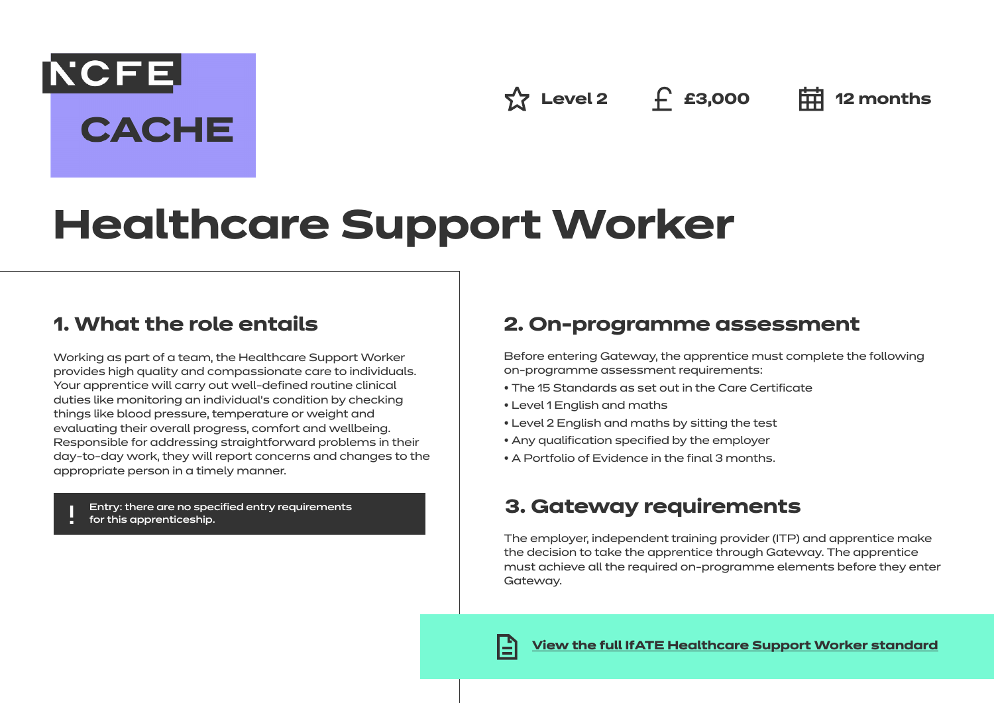**Level 2 £3,000 12 months**

# **Healthcare Support Worker**

# **1. What the role entails**

**NCFE** 

**CACHE** 

Working as part of a team, the Healthcare Support Worker provides high quality and compassionate care to individuals. Your apprentice will carry out well-defined routine clinical duties like monitoring an individual's condition by checking things like blood pressure, temperature or weight and evaluating their overall progress, comfort and wellbeing. Responsible for addressing straightforward problems in their day-to-day work, they will report concerns and changes to the appropriate person in a timely manner.

Entry: there are no specified entry requirements for this apprenticeship.

# **2. On-programme assessment**

Before entering Gateway, the apprentice must complete the following on-programme assessment requirements:

- The 15 Standards as set out in the Care Certificate
- Level 1 English and maths
- Level 2 English and maths by sitting the test
- Any qualification specified by the employer
- A Portfolio of Evidence in the final 3 months.

# **3. Gateway requirements**

The employer, independent training provider (ITP) and apprentice make the decision to take the apprentice through Gateway. The apprentice must achieve all the required on-programme elements before they enter Gateway.